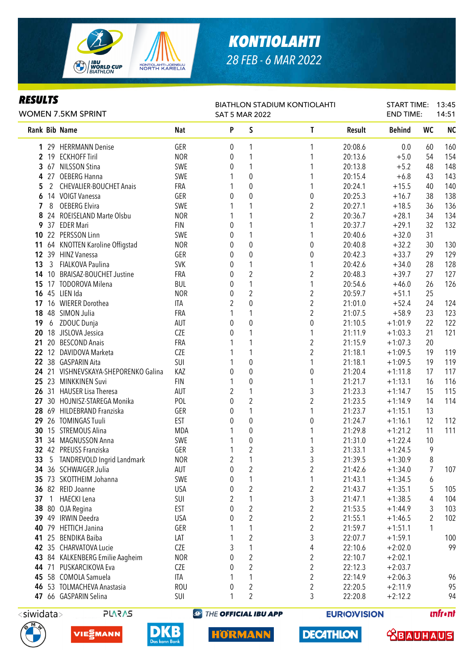

## **KONTIOLAHTI** 28 FEB - 6 MAR 2022

| <b>RESULTS</b>  |       | <b>WOMEN 7.5KM SPRINT</b>            | <b>BIATHLON STADIUM KONTIOLAHTI</b><br><b>SAT 5 MAR 2022</b> |   |                  |                         |         | <b>START TIME:</b><br><b>END TIME:</b> |                | 13:45<br>14:51 |
|-----------------|-------|--------------------------------------|--------------------------------------------------------------|---|------------------|-------------------------|---------|----------------------------------------|----------------|----------------|
|                 |       | Rank Bib Name                        | <b>Nat</b>                                                   | P | S                | T                       | Result  | <b>Behind</b>                          | <b>WC</b>      | <b>NC</b>      |
|                 |       | 1 29 HERRMANN Denise                 | GER                                                          | 0 | 1                | 1                       | 20:08.6 | 0.0                                    | 60             | 160            |
|                 |       | 2 19 ECKHOFF Tiril                   | <b>NOR</b>                                                   | 0 | 1                | 1                       | 20:13.6 | $+5.0$                                 | 54             | 154            |
| 3               |       | 67 NILSSON Stina                     | SWE                                                          | 0 | 1                | 1                       | 20:13.8 | $+5.2$                                 | 48             | 148            |
| 4               |       | 27 OEBERG Hanna                      | SWE                                                          |   | 0                | 1                       | 20:15.4 | $+6.8$                                 | 43             | 143            |
| 5               | 2     | <b>CHEVALIER-BOUCHET Anais</b>       | FRA                                                          | 1 | $\boldsymbol{0}$ | 1                       | 20:24.1 | $+15.5$                                | 40             | 140            |
| 6               |       | 14 VOIGT Vanessa                     | GER                                                          | 0 | 0                | 0                       | 20:25.3 | $+16.7$                                | 38             | 138            |
| 7               | 8     | <b>OEBERG Elvira</b>                 | SWE                                                          |   | 1                | $\overline{\mathbf{c}}$ | 20:27.1 | $+18.5$                                | 36             | 136            |
| 8               |       | 24 ROEISELAND Marte Olsbu            | <b>NOR</b>                                                   | 1 | 1                | $\overline{2}$          | 20:36.7 | $+28.1$                                | 34             | 134            |
| 9               |       | 37 EDER Mari                         | <b>FIN</b>                                                   | 0 | 1                | 1                       | 20:37.7 | $+29.1$                                | 32             | 132            |
| 10              |       | 22 PERSSON Linn                      | SWE                                                          | 0 | 1                | 1                       | 20:40.6 | $+32.0$                                | 31             |                |
| 11              |       | 64 KNOTTEN Karoline Offigstad        | <b>NOR</b>                                                   | 0 | $\pmb{0}$        | 0                       | 20:40.8 | $+32.2$                                | 30             | 130            |
| 12 <sup>°</sup> |       | 39 HINZ Vanessa                      | GER                                                          | 0 | $\boldsymbol{0}$ | 0                       | 20:42.3 | $+33.7$                                | 29             | 129            |
| 13              | 3     | FIALKOVA Paulina                     | <b>SVK</b>                                                   | 0 | 1                | 1                       | 20:42.6 | $+34.0$                                | 28             | 128            |
| 14              |       | 10 BRAISAZ-BOUCHET Justine           | FRA                                                          | 0 | $\overline{2}$   | $\overline{2}$          | 20:48.3 | $+39.7$                                | 27             | 127            |
| 15              | 17    | <b>TODOROVA Milena</b>               | <b>BUL</b>                                                   | 0 | 1                | 1                       | 20:54.6 | $+46.0$                                | 26             | 126            |
| 16              |       | 45 LIEN Ida                          | <b>NOR</b>                                                   | 0 | $\overline{2}$   | $\overline{c}$          | 20:59.7 | $+51.1$                                | 25             |                |
| 17              |       | 16 WIERER Dorothea                   | ITA                                                          | 2 | $\mathbf 0$      | $\overline{c}$          | 21:01.0 | $+52.4$                                | 24             | 124            |
| 18              |       | 48 SIMON Julia                       | FRA                                                          | 1 | 1                | $\overline{2}$          | 21:07.5 | $+58.9$                                | 23             | 123            |
| 19              | 6     | ZDOUC Dunja                          | AUT                                                          | 0 | $\mathbf{0}$     | $\boldsymbol{0}$        | 21:10.5 | $+1:01.9$                              | 22             | 122            |
| 20              |       | 18 JISLOVA Jessica                   | <b>CZE</b>                                                   | 0 | 1                | 1                       | 21:11.9 | $+1:03.3$                              | 21             | 121            |
| 21              |       | 20 BESCOND Anais                     | FRA                                                          |   | 1                | $\overline{2}$          | 21:15.9 | $+1:07.3$                              | 20             |                |
|                 |       | 22 12 DAVIDOVA Marketa               | <b>CZE</b>                                                   |   | 1                | $\overline{2}$          | 21:18.1 | $+1:09.5$                              | 19             | 119            |
| $22\,$          |       | 38 GASPARIN Aita                     | SUI                                                          |   | 0                | 1                       | 21:18.1 | $+1:09.5$                              | 19             | 119            |
|                 |       | 24 21 VISHNEVSKAYA-SHEPORENKO Galina | KAZ                                                          | 0 | $\boldsymbol{0}$ | 0                       | 21:20.4 | $+1:11.8$                              | 17             | 117            |
|                 |       | 25 23 MINKKINEN Suvi                 | <b>FIN</b>                                                   | 1 | 0                | 1                       | 21:21.7 | $+1:13.1$                              | 16             | 116            |
| 26              |       | 31 HAUSER Lisa Theresa               | AUT                                                          | 2 | 1                | 3                       | 21:23.3 | $+1:14.7$                              | 15             | 115            |
| 27              |       | 30 HOJNISZ-STAREGA Monika            | POL                                                          | 0 | $\overline{2}$   | $\overline{2}$          | 21:23.5 | $+1:14.9$                              | 14             | 114            |
| 28              |       | 69 HILDEBRAND Franziska              | GER                                                          | 0 | 1                | 1                       | 21:23.7 | $+1:15.1$                              | 13             |                |
| 29              |       | 26 TOMINGAS Tuuli                    | <b>EST</b>                                                   | 0 | $\boldsymbol{0}$ | 0                       | 21:24.7 | $+1:16.1$                              | 12             | 112            |
| 30              |       | 15 STREMOUS Alina                    | <b>MDA</b>                                                   |   | $\pmb{0}$        | 1                       | 21:29.8 | $+1:21.2$                              | 11             | 111            |
|                 |       | 31 34 MAGNUSSON Anna                 | SWE                                                          |   | $\pmb{0}$        | 1                       | 21:31.0 | $+1:22.4$                              | 10             |                |
|                 |       | 32 42 PREUSS Franziska               | GER                                                          | 1 | $\overline{c}$   | 3                       | 21:33.1 | $+1:24.5$                              | $\overline{9}$ |                |
| 33              |       | 5 TANDREVOLD Ingrid Landmark         | <b>NOR</b>                                                   | 2 | 1                | 3                       | 21:39.5 | $+1:30.9$                              | 8              |                |
|                 |       | 34 36 SCHWAIGER Julia                | AUT                                                          | 0 | $\overline{c}$   | $\overline{c}$          | 21:42.6 | $+1:34.0$                              | 7              | 107            |
| 35              |       | 73 SKOTTHEIM Johanna                 | SWE                                                          | 0 | 1                | 1                       | 21:43.1 | $+1:34.5$                              | 6              |                |
| 36              |       | 82 REID Joanne                       | <b>USA</b>                                                   | 0 | $\overline{c}$   | $\overline{c}$          | 21:43.7 | $+1:35.1$                              | 5              | 105            |
| 37              | 1     | <b>HAECKI</b> Lena                   | SUI                                                          | 2 | 1                | 3                       | 21:47.1 | $+1:38.5$                              | 4              | 104            |
| 38              |       | 80 OJA Regina                        | <b>EST</b>                                                   | 0 | $\overline{c}$   | $\overline{c}$          | 21:53.5 | $+1:44.9$                              | 3              | 103            |
|                 | 39 49 | <b>IRWIN Deedra</b>                  | <b>USA</b>                                                   | 0 | $\overline{c}$   | $\overline{c}$          | 21:55.1 | $+1:46.5$                              | 2              | 102            |
| 40              | 79    | <b>HETTICH Janina</b>                | GER                                                          |   | 1                | $\overline{c}$          | 21:59.7 | $+1:51.1$                              | 1              |                |
| 41              |       | 25 BENDIKA Baiba                     | LAT                                                          |   | $\overline{c}$   | 3                       | 22:07.7 | $+1:59.1$                              |                | 100            |
|                 |       | 42 35 CHARVATOVA Lucie               | CZE                                                          | 3 | 1                | 4                       | 22:10.6 | $+2:02.0$                              |                | 99             |
| 43              |       | 84 KALKENBERG Emilie Aagheim         | <b>NOR</b>                                                   | 0 | $\overline{c}$   | $\overline{\mathbf{c}}$ | 22:10.7 | $+2:02.1$                              |                |                |
|                 |       | 44 71 PUSKARCIKOVA Eva               | CZE                                                          | 0 | $\overline{2}$   | $\overline{c}$          | 22:12.3 | $+2:03.7$                              |                |                |
| 45              |       | 58 COMOLA Samuela                    | <b>ITA</b>                                                   |   | 1                | $\overline{c}$          | 22:14.9 | $+2:06.3$                              |                | 96             |
| 46              |       | 53 TOLMACHEVA Anastasia              | <b>ROU</b>                                                   | 0 | $\boldsymbol{2}$ | 2                       | 22:20.5 | $+2:11.9$                              |                | 95             |
|                 |       | 47 66 GASPARIN Selina                | SUI                                                          | 1 | $\overline{2}$   | 3                       | 22:20.8 | $+2:12.2$                              |                | 94             |

 $\overline{\left\langle$ siwidata>

**PLARAS** 





**DKB** 

**@ THE OFFICIAL IBU APP** 

**DECATHLON** 

**EURIOVISION** 



*<u>Infront</u>*